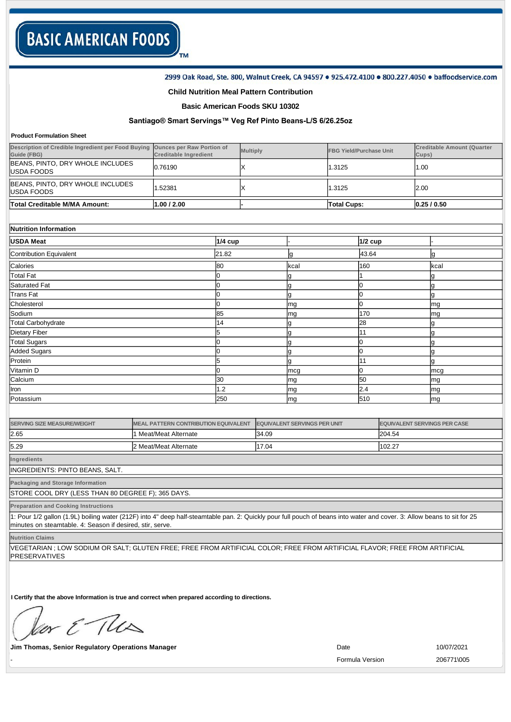#### 2999 Oak Road, Ste. 800, Walnut Creek, CA 94597 . 925.472.4100 . 800.227.4050 . baffoodservice.com

### **Child Nutrition Meal Pattern Contribution**

TM

### **Basic American Foods SKU 10302**

# **Santiago® Smart Servings™ Veg Ref Pinto BeansL/S 6/26.25oz**

#### **Product Formulation Sheet**

| Description of Credible Ingredient per Food Buying<br>Guide (FBG) | <b>Ounces per Raw Portion of</b><br><b>Creditable Ingredient</b> |                                             | <b>Multiply</b> |                                     | <b>FBG Yield/Purchase Unit</b> |           | <b>Creditable Amount (Quarter</b><br>Cups) |           |
|-------------------------------------------------------------------|------------------------------------------------------------------|---------------------------------------------|-----------------|-------------------------------------|--------------------------------|-----------|--------------------------------------------|-----------|
| BEANS, PINTO, DRY WHOLE INCLUDES<br><b>USDA FOODS</b>             | 0.76190                                                          | Χ                                           |                 |                                     | 1.3125                         |           | 1.00                                       |           |
| BEANS, PINTO, DRY WHOLE INCLUDES<br><b>USDA FOODS</b>             | 1.52381                                                          | Χ                                           |                 |                                     | 1.3125                         |           | 2.00                                       |           |
| <b>Total Creditable M/MA Amount:</b>                              | 1.00 / 2.00                                                      |                                             |                 |                                     | <b>Total Cups:</b>             |           |                                            | 0.25/0.50 |
|                                                                   |                                                                  |                                             |                 |                                     |                                |           |                                            |           |
| Nutrition Information                                             |                                                                  |                                             |                 |                                     |                                |           |                                            |           |
| <b>USDA Meat</b>                                                  |                                                                  | <b>1/4 cup</b>                              |                 |                                     |                                | $1/2$ cup |                                            |           |
| <b>Contribution Equivalent</b>                                    |                                                                  | 21.82                                       |                 | g                                   |                                | 43.64     |                                            | g         |
| Calories                                                          |                                                                  | 80                                          |                 | kcal                                |                                | 160       |                                            | kcal      |
| <b>Total Fat</b>                                                  |                                                                  | 0                                           |                 | g                                   |                                |           |                                            | g         |
| <b>Saturated Fat</b>                                              |                                                                  | 0                                           |                 | g                                   |                                | U         |                                            | g         |
| <b>Trans Fat</b>                                                  |                                                                  | 0                                           |                 | g                                   |                                | 0         |                                            | g         |
| Cholesterol                                                       |                                                                  | 0                                           |                 | mg                                  |                                | U         |                                            | mg        |
| Sodium                                                            |                                                                  | 85                                          |                 | mg                                  |                                | 170       |                                            | mg        |
| <b>Total Carbohydrate</b>                                         |                                                                  | 14                                          |                 | g                                   |                                | 28        |                                            | g         |
| <b>Dietary Fiber</b>                                              |                                                                  | 5                                           |                 | g                                   |                                | 11        |                                            | g         |
| <b>Total Sugars</b>                                               |                                                                  | 0                                           |                 | g                                   |                                | 0         |                                            | g         |
| <b>Added Sugars</b>                                               |                                                                  | 0                                           |                 | g                                   |                                | 0         |                                            | g         |
| Protein                                                           |                                                                  | 5                                           |                 | g                                   |                                | 11        |                                            | g         |
| Vitamin D                                                         |                                                                  | <sup>o</sup>                                |                 | mcg                                 |                                | 0         |                                            | mcg       |
| Calcium                                                           |                                                                  | 30                                          |                 | mg                                  |                                | 50        |                                            | mg        |
| Iron                                                              |                                                                  | 1.2                                         |                 | mg                                  |                                | 2.4       |                                            | mg        |
| Potassium                                                         |                                                                  | 250                                         |                 | mg                                  |                                | 510       |                                            | mg        |
|                                                                   |                                                                  |                                             |                 |                                     |                                |           |                                            |           |
| <b>SERVING SIZE MEASURE/WEIGHT</b>                                |                                                                  | <b>MEAL PATTERN CONTRIBUTION EQUIVALENT</b> |                 | <b>EQUIVALENT SERVINGS PER UNIT</b> |                                |           | <b>EQUIVALENT SERVINGS PER CASE</b>        |           |
| 2.65                                                              | 1 Meat/Meat Alternate                                            |                                             |                 | 34.09                               |                                |           | 204.54                                     |           |
| 5.29                                                              | 2 Meat/Meat Alternate                                            |                                             | 17.04           |                                     |                                |           | 102.27                                     |           |

**Ingredients**

INGREDIENTS: PINTO BEANS, SALT.

**Packaging and Storage Information**

STORE COOL DRY (LESS THAN 80 DEGREE F); 365 DAYS.

**Preparation and Cooking Instructions**

1: Pour 1/2 gallon (1.9L) boiling water (212F) into 4" deep half-steamtable pan. 2: Quickly pour full pouch of beans into water and cover. 3: Allow beans to sit for 25 minutes on steamtable. 4: Season if desired, stir, serve.

**Nutrition Claims**

VEGETARIAN ; LOW SODIUM OR SALT; GLUTEN FREE; FREE FROM ARTIFICIAL COLOR; FREE FROM ARTIFICIAL FLAVOR; FREE FROM ARTIFICIAL PRESERVATIVES

**I Certify that the above Information is true and correct when prepared according to directions.** 

or & The

**Jim Thomas, Senior Regulatory Operations Manager Community Community Community Community Community Community Community Community Community Community Community Community Community Community Community Community Community** 

- Formula Version 206771\005